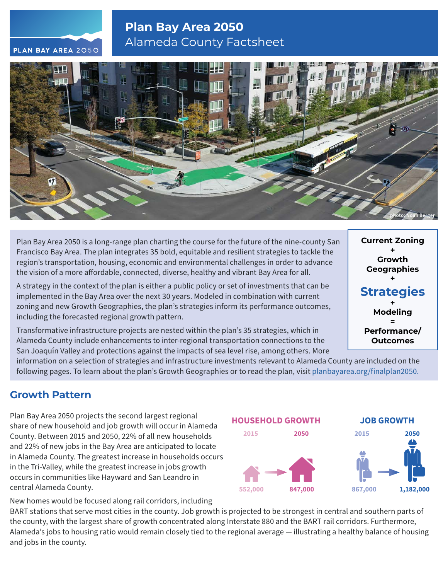# **Plan Bay Area 2050** Alameda County Factsheet



Plan Bay Area 2050 is a long-range plan charting the course for the future of the nine-county San Francisco Bay Area. The plan integrates 35 bold, equitable and resilient strategies to tackle the region's transportation, housing, economic and environmental challenges in order to advance the vision of a more affordable, connected, diverse, healthy and vibrant Bay Area for all.

A strategy in the context of the plan is either a public policy or set of investments that can be implemented in the Bay Area over the next 30 years. Modeled in combination with current zoning and new Growth Geographies, the plan's strategies inform its performance outcomes, including the forecasted regional growth pattern.

Transformative infrastructure projects are nested within the plan's 35 strategies, which in Alameda County include enhancements to inter-regional transportation connections to the San Joaquín Valley and protections against the impacts of sea level rise, among others. More

**Current Zoning + Growth Geographies + Strategies + Modeling = Performance/ Outcomes**

information on a selection of strategies and infrastructure investments relevant to Alameda County are included on the following pages. To learn about the plan's Growth Geographies or to read the plan, visit [planbayarea.org/finalplan2050.](https://www.planbayarea.org/finalplan2050)

### **Growth Pattern**

Plan Bay Area 2050 projects the second largest regional share of new household and job growth will occur in Alameda County. Between 2015 and 2050, 22% of all new households and 22% of new jobs in the Bay Area are anticipated to locate in Alameda County. The greatest increase in households occurs in the Tri-Valley, while the greatest increase in jobs growth occurs in communities like Hayward and San Leandro in central Alameda County.



New homes would be focused along rail corridors, including BART stations that serve most cities in the county. Job growth is projected to be strongest in central and southern parts of the county, with the largest share of growth concentrated along Interstate 880 and the BART rail corridors. Furthermore, Alameda's jobs to housing ratio would remain closely tied to the regional average — illustrating a healthy balance of housing and jobs in the county.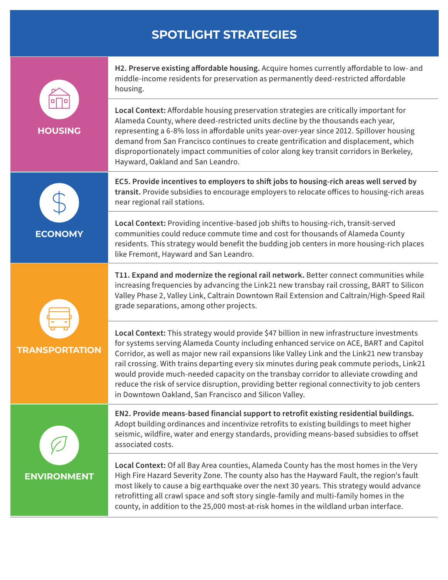### **SPOTLIGHT STRATEGIES**